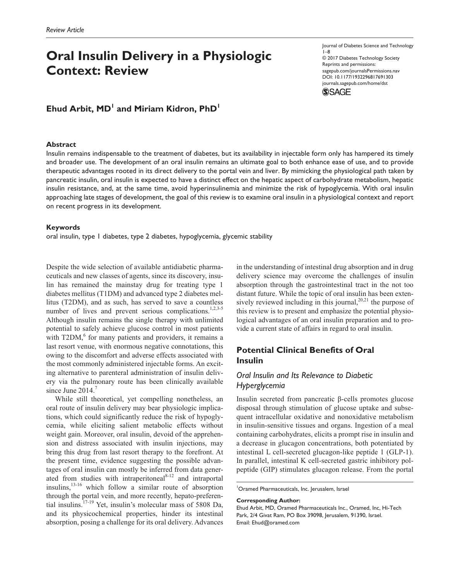# **Oral Insulin Delivery in a Physiologic Context: Review**

# **Ehud Arbit, MD<sup>1</sup> and Miriam Kidron, PhD<sup>1</sup>**

### **Abstract**

Journal of Diabetes Science and Technology  $1 - 8$ © 2017 Diabetes Technology Society Reprints and permissions: [sagepub.com/journalsPermissions.nav](https://us.sagepub.com/en-us/journals-permissions) https://doi.org/10.1177/1932296817691303 DOI: 10.1177/1932296817691303 [journals.sagepub.com/home/dst](https://journals.sagepub.com/home/dst) **SSAGE** 

Insulin remains indispensable to the treatment of diabetes, but its availability in injectable form only has hampered its timely and broader use. The development of an oral insulin remains an ultimate goal to both enhance ease of use, and to provide therapeutic advantages rooted in its direct delivery to the portal vein and liver. By mimicking the physiological path taken by pancreatic insulin, oral insulin is expected to have a distinct effect on the hepatic aspect of carbohydrate metabolism, hepatic insulin resistance, and, at the same time, avoid hyperinsulinemia and minimize the risk of hypoglycemia. With oral insulin approaching late stages of development, the goal of this review is to examine oral insulin in a physiological context and report on recent progress in its development.

#### **Keywords**

oral insulin, type 1 diabetes, type 2 diabetes, hypoglycemia, glycemic stability

Despite the wide selection of available antidiabetic pharmaceuticals and new classes of agents, since its discovery, insulin has remained the mainstay drug for treating type 1 diabetes mellitus (T1DM) and advanced type 2 diabetes mellitus (T2DM), and as such, has served to save a countless number of lives and prevent serious complications.<sup>1,2,3-5</sup> Although insulin remains the single therapy with unlimited potential to safely achieve glucose control in most patients with T2DM,<sup>6</sup> for many patients and providers, it remains a last resort venue, with enormous negative connotations, this owing to the discomfort and adverse effects associated with the most commonly administered injectable forms. An exciting alternative to parenteral administration of insulin delivery via the pulmonary route has been clinically available since June 2014.<sup>7</sup>

While still theoretical, yet compelling nonetheless, an oral route of insulin delivery may bear physiologic implications, which could significantly reduce the risk of hypoglycemia, while eliciting salient metabolic effects without weight gain. Moreover, oral insulin, devoid of the apprehension and distress associated with insulin injections, may bring this drug from last resort therapy to the forefront. At the present time, evidence suggesting the possible advantages of oral insulin can mostly be inferred from data generated from studies with intraperitoneal $8-12$  and intraportal insulins,13-16 which follow a similar route of absorption through the portal vein, and more recently, hepato-preferential insulins.17-19 Yet, insulin's molecular mass of 5808 Da, and its physicochemical properties, hinder its intestinal absorption, posing a challenge for its oral delivery. Advances in the understanding of intestinal drug absorption and in drug delivery science may overcome the challenges of insulin absorption through the gastrointestinal tract in the not too distant future. While the topic of oral insulin has been extensively reviewed including in this journal, $20,21$  the purpose of this review is to present and emphasize the potential physiological advantages of an oral insulin preparation and to provide a current state of affairs in regard to oral insulin.

# **Potential Clinical Benefits of Oral Insulin**

# *Oral Insulin and Its Relevance to Diabetic Hyperglycemia*

Insulin secreted from pancreatic β-cells promotes glucose disposal through stimulation of glucose uptake and subsequent intracellular oxidative and nonoxidative metabolism in insulin-sensitive tissues and organs. Ingestion of a meal containing carbohydrates, elicits a prompt rise in insulin and a decrease in glucagon concentrations, both potentiated by intestinal L cell-secreted glucagon-like peptide 1 (GLP-1). In parallel, intestinal K cell-secreted gastric inhibitory polpeptide (GIP) stimulates glucagon release. From the portal

<sup>1</sup>Oramed Pharmaceuticals, Inc. Jerusalem, Israel

#### **Corresponding Author:**

Ehud Arbit, MD, Oramed Pharmaceuticals Inc., Oramed, Inc, Hi-Tech Park, 2/4 Givat Ram, PO Box 39098, Jerusalem, 91390, Israel. Email: [Ehud@oramed.com](mailto:Ehud@oramed.com)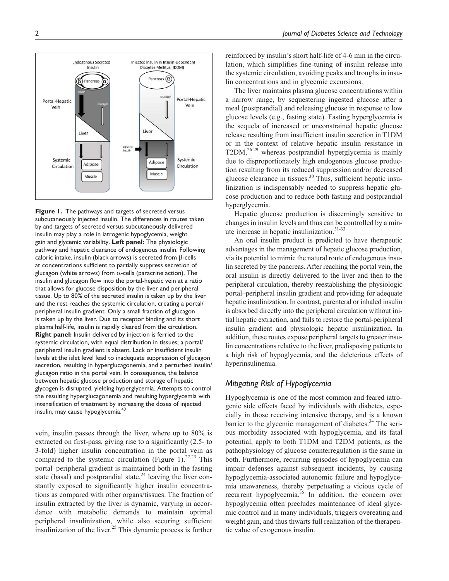

**Figure 1.** The pathways and targets of secreted versus subcutaneously injected insulin. The differences in routes taken by and targets of secreted versus subcutaneously delivered insulin may play a role in iatrogenic hypoglycemia, weight gain and glycemic variability. **Left panel:** The physiologic pathway and hepatic clearance of endogenous insulin. Following caloric intake, insulin (black arrows) is secreted from β-cells at concentrations sufficient to partially suppress secretion of glucagon (white arrows) from  $\alpha$ -cells (paracrine action). The insulin and glucagon flow into the portal-hepatic vein at a ratio that allows for glucose disposition by the liver and peripheral tissue. Up to 80% of the secreted insulin is taken up by the liver and the rest reaches the systemic circulation, creating a portal/ peripheral insulin gradient. Only a small fraction of glucagon is taken up by the liver. Due to receptor binding and its short plasma half-life, insulin is rapidly cleared from the circulation. **Right panel:** Insulin delivered by injection is ferried to the systemic circulation, with equal distribution in tissues; a portal/ peripheral insulin gradient is absent. Lack or insufficient insulin levels at the islet level lead to inadequate suppression of glucagon secretion, resulting in hyperglucagonemia, and a perturbed insulin/ glucagon ratio in the portal vein. In consequence, the balance between hepatic glucose production and storage of hepatic glycogen is disrupted, yielding hyperglycemia. Attempts to control the resulting hyperglucagonemia and resulting hyperglycemia with intensification of treatment by increasing the doses of injected insulin, may cause hypoglycemia.<sup>40</sup>

vein, insulin passes through the liver, where up to 80% is extracted on first-pass, giving rise to a significantly (2.5- to 3-fold) higher insulin concentration in the portal vein as compared to the systemic circulation (Figure 1).<sup>22,23</sup> This portal–peripheral gradient is maintained both in the fasting state (basal) and postprandial state,  $^{24}$  leaving the liver constantly exposed to significantly higher insulin concentrations as compared with other organs/tissues. The fraction of insulin extracted by the liver is dynamic, varying in accordance with metabolic demands to maintain optimal peripheral insulinization, while also securing sufficient insulinization of the liver.<sup>25</sup> This dynamic process is further

reinforced by insulin's short half-life of 4-6 min in the circulation, which simplifies fine-tuning of insulin release into the systemic circulation, avoiding peaks and troughs in insulin concentrations and in glycemic excursions.

The liver maintains plasma glucose concentrations within a narrow range, by sequestering ingested glucose after a meal (postprandial) and releasing glucose in response to low glucose levels (e.g., fasting state). Fasting hyperglycemia is the sequela of increased or unconstrained hepatic glucose release resulting from insufficient insulin secretion in T1DM or in the context of relative hepatic insulin resistance in T2DM,<sup>26-29</sup> whereas postprandial hyperglycemia is mainly due to disproportionately high endogenous glucose production resulting from its reduced suppression and/or decreased glucose clearance in tissues.<sup>30</sup> Thus, sufficient hepatic insulinization is indispensably needed to suppress hepatic glucose production and to reduce both fasting and postprandial hyperglycemia.

Hepatic glucose production is discerningly sensitive to changes in insulin levels and thus can be controlled by a minute increase in hepatic insulinization.<sup>31-33</sup>

An oral insulin product is predicted to have therapeutic advantages in the management of hepatic glucose production, via its potential to mimic the natural route of endogenous insulin secreted by the pancreas. After reaching the portal vein, the oral insulin is directly delivered to the liver and then to the peripheral circulation, thereby reestablishing the physiologic portal–peripheral insulin gradient and providing for adequate hepatic insulinization. In contrast, parenteral or inhaled insulin is absorbed directly into the peripheral circulation without initial hepatic extraction, and fails to restore the portal-peripheral insulin gradient and physiologic hepatic insulinization. In addition, these routes expose peripheral targets to greater insulin concentrations relative to the liver, predisposing patients to a high risk of hypoglycemia, and the deleterious effects of hyperinsulinemia.

### *Mitigating Risk of Hypoglycemia*

Hypoglycemia is one of the most common and feared iatrogenic side effects faced by individuals with diabetes, especially in those receiving intensive therapy, and is a known barrier to the glycemic management of diabetes.<sup>34</sup> The serious morbidity associated with hypoglycemia, and its fatal potential, apply to both T1DM and T2DM patients, as the pathophysiology of glucose counterregulation is the same in both. Furthermore, recurring episodes of hypoglycemia can impair defenses against subsequent incidents, by causing hypoglycemia-associated autonomic failure and hypoglycemia unawareness, thereby perpetuating a vicious cycle of recurrent hypoglycemia.<sup>35</sup> In addition, the concern over hypoglycemia often precludes maintenance of ideal glycemic control and in many individuals, triggers overeating and weight gain, and thus thwarts full realization of the therapeutic value of exogenous insulin.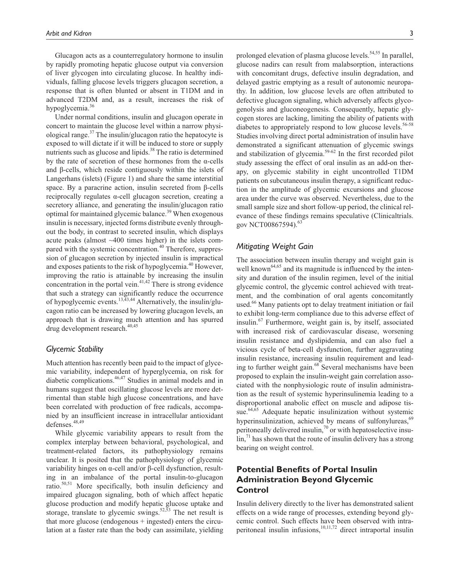Glucagon acts as a counterregulatory hormone to insulin by rapidly promoting hepatic glucose output via conversion of liver glycogen into circulating glucose. In healthy individuals, falling glucose levels triggers glucagon secretion, a response that is often blunted or absent in T1DM and in advanced T2DM and, as a result, increases the risk of hypoglycemia.<sup>36</sup>

Under normal conditions, insulin and glucagon operate in concert to maintain the glucose level within a narrow physiological range.<sup>37</sup> The insulin/glucagon ratio the hepatocyte is exposed to will dictate if it will be induced to store or supply nutrients such as glucose and lipids. $38$  The ratio is determined by the rate of secretion of these hormones from the α-cells and β-cells, which reside contiguously within the islets of Langerhans (islets) (Figure 1) and share the same interstitial space. By a paracrine action, insulin secreted from β-cells reciprocally regulates α-cell glucagon secretion, creating a secretory alliance, and generating the insulin/glucagon ratio optimal for maintained glycemic balance.<sup>39</sup> When exogenous insulin is necessary, injected forms distribute evenly throughout the body, in contrast to secreted insulin, which displays acute peaks (almost ~400 times higher) in the islets compared with the systemic concentration.<sup>40</sup> Therefore, suppression of glucagon secretion by injected insulin is impractical and exposes patients to the risk of hypoglycemia.<sup>40</sup> However, improving the ratio is attainable by increasing the insulin concentration in the portal vein. $41,42$  There is strong evidence that such a strategy can significantly reduce the occurrence of hypoglycemic events.13,43,44 Alternatively, the insulin/glucagon ratio can be increased by lowering glucagon levels, an approach that is drawing much attention and has spurred drug development research.<sup>40,45</sup>

### *Glycemic Stability*

Much attention has recently been paid to the impact of glycemic variability, independent of hyperglycemia, on risk for diabetic complications.46,47 Studies in animal models and in humans suggest that oscillating glucose levels are more detrimental than stable high glucose concentrations, and have been correlated with production of free radicals, accompanied by an insufficient increase in intracellular antioxidant defenses.<sup>48,49</sup>

While glycemic variability appears to result from the complex interplay between behavioral, psychological, and treatment-related factors, its pathophysiology remains unclear. It is posited that the pathophysiology of glycemic variability hinges on α-cell and/or β-cell dysfunction, resulting in an imbalance of the portal insulin-to-glucagon ratio.<sup>50,51</sup> More specifically, both insulin deficiency and impaired glucagon signaling, both of which affect hepatic glucose production and modify hepatic glucose uptake and storage, translate to glycemic swings. $52,53$  The net result is that more glucose (endogenous  $+$  ingested) enters the circulation at a faster rate than the body can assimilate, yielding

prolonged elevation of plasma glucose levels.<sup>54,55</sup> In parallel, glucose nadirs can result from malabsorption, interactions with concomitant drugs, defective insulin degradation, and delayed gastric emptying as a result of autonomic neuropathy. In addition, low glucose levels are often attributed to defective glucagon signaling, which adversely affects glycogenolysis and gluconeogenesis. Consequently, hepatic glycogen stores are lacking, limiting the ability of patients with diabetes to appropriately respond to low glucose levels.<sup>56-58</sup> Studies involving direct portal administration of insulin have demonstrated a significant attenuation of glycemic swings and stabilization of glycemia. $59-62$  In the first recorded pilot study assessing the effect of oral insulin as an add-on therapy, on glycemic stability in eight uncontrolled T1DM patients on subcutaneous insulin therapy, a significant reduction in the amplitude of glycemic excursions and glucose area under the curve was observed. Nevertheless, due to the small sample size and short follow-up period, the clinical relevance of these findings remains speculative (Clinicaltrials. gov NCT00867594).<sup>63</sup>

### *Mitigating Weight Gain*

The association between insulin therapy and weight gain is well known<sup>64,65</sup> and its magnitude is influenced by the intensity and duration of the insulin regimen, level of the initial glycemic control, the glycemic control achieved with treatment, and the combination of oral agents concomitantly used.<sup>66</sup> Many patients opt to delay treatment initiation or fail to exhibit long-term compliance due to this adverse effect of insulin.<sup>67</sup> Furthermore, weight gain is, by itself, associated with increased risk of cardiovascular disease, worsening insulin resistance and dyslipidemia, and can also fuel a vicious cycle of beta-cell dysfunction, further aggravating insulin resistance, increasing insulin requirement and leading to further weight gain.<sup>68</sup> Several mechanisms have been proposed to explain the insulin-weight gain correlation associated with the nonphysiologic route of insulin administration as the result of systemic hyperinsulinemia leading to a disproportional anabolic effect on muscle and adipose tissue.<sup>64,65</sup> Adequate hepatic insulinization without systemic hyperinsulinization, achieved by means of sulfonylureas,  $69$ peritoneally delivered insulin,<sup>70</sup> or with hepatoselective insu- $\lim$ <sup>71</sup> has shown that the route of insulin delivery has a strong bearing on weight control.

# **Potential Benefits of Portal Insulin Administration Beyond Glycemic Control**

Insulin delivery directly to the liver has demonstrated salient effects on a wide range of processes, extending beyond glycemic control. Such effects have been observed with intraperitoneal insulin infusions, $10,11,72$  direct intraportal insulin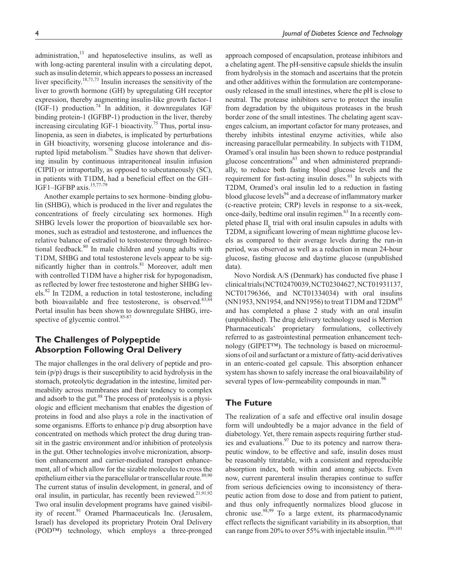administration, $13$  and hepatoselective insulins, as well as with long-acting parenteral insulin with a circulating depot, such as insulin detemir, which appears to possess an increased liver specificity.<sup>18,71,73</sup> Insulin increases the sensitivity of the liver to growth hormone (GH) by upregulating GH receptor expression, thereby augmenting insulin-like growth factor-1 (IGF-1) production.<sup>74</sup> In addition, it downregulates IGF binding protein-1 (IGFBP-1) production in the liver, thereby increasing circulating IGF-1 bioactivity.<sup>75</sup> Thus, portal insulinopenia, as seen in diabetes, is implicated by perturbations in GH bioactivity, worsening glucose intolerance and disrupted lipid metabolism.<sup>76</sup> Studies have shown that delivering insulin by continuous intraperitoneal insulin infusion (CIPII) or intraportally, as opposed to subcutaneously (SC), in patients with T1DM, had a beneficial effect on the GH– IGF1-IGFBP axis.<sup>15,77-79</sup>

Another example pertains to sex hormone–binding globulin (SHBG), which is produced in the liver and regulates the concentrations of freely circulating sex hormones. High SHBG levels lower the proportion of bioavailable sex hormones, such as estradiol and testosterone, and influences the relative balance of estradiol to testosterone through bidirectional feedback.<sup>80</sup> In male children and young adults with T1DM, SHBG and total testosterone levels appear to be significantly higher than in controls.<sup>81</sup> Moreover, adult men with controlled T1DM have a higher risk for hypogonadism, as reflected by lower free testosterone and higher SHBG levels.<sup>82</sup> In T2DM, a reduction in total testosterone, including both bioavailable and free testosterone, is observed.<sup>83,84</sup> Portal insulin has been shown to downregulate SHBG, irrespective of glycemic control.<sup>85-87</sup>

## **The Challenges of Polypeptide Absorption Following Oral Delivery**

The major challenges in the oral delivery of peptide and protein (p/p) drugs is their susceptibility to acid hydrolysis in the stomach, proteolytic degradation in the intestine, limited permeability across membranes and their tendency to complex and adsorb to the gut.<sup>88</sup> The process of proteolysis is a physiologic and efficient mechanism that enables the digestion of proteins in food and also plays a role in the inactivation of some organisms. Efforts to enhance p/p drug absorption have concentrated on methods which protect the drug during transit in the gastric environment and/or inhibition of proteolysis in the gut. Other technologies involve micronization, absorption enhancement and carrier-mediated transport enhancement, all of which allow for the sizable molecules to cross the epithelium either via the paracellular or transcellular route.<sup>89,90</sup> The current status of insulin development, in general, and of oral insulin, in particular, has recently been reviewed.<sup>21,91,92</sup> Two oral insulin development programs have gained visibility of recent.<sup>91</sup> Oramed Pharmaceuticals Inc. (Jerusalem, Israel) has developed its proprietary Protein Oral Delivery (POD™) technology, which employs a three-pronged

approach composed of encapsulation, protease inhibitors and a chelating agent. The pH-sensitive capsule shields the insulin from hydrolysis in the stomach and ascertains that the protein and other additives within the formulation are contemporaneously released in the small intestines, where the pH is close to neutral. The protease inhibitors serve to protect the insulin from degradation by the ubiquitous proteases in the brush border zone of the small intestines. The chelating agent scavenges calcium, an important cofactor for many proteases, and thereby inhibits intestinal enzyme activities, while also increasing paracellular permeability. In subjects with T1DM, Oramed's oral insulin has been shown to reduce postprandial glucose concentrations<sup>63</sup> and when administered preprandially, to reduce both fasting blood glucose levels and the requirement for fast-acting insulin doses.<sup>93</sup> In subjects with T2DM, Oramed's oral insulin led to a reduction in fasting blood glucose levels<sup>94</sup> and a decrease of inflammatory marker (c-reactive protein; CRP) levels in response to a six-week, once-daily, bedtime oral insulin regimen.<sup>63</sup> In a recently completed phase  $II_{\text{b}}$  trial with oral insulin capsules in adults with T2DM, a significant lowering of mean nighttime glucose levels as compared to their average levels during the run-in period, was observed as well as a reduction in mean 24-hour glucose, fasting glucose and daytime glucose (unpublished data).

Novo Nordisk A/S (Denmark) has conducted five phase I clinical trials (NCT02470039, NCT02304627, NCT01931137, NCT01796366, and NCT01334034) with oral insulins (NN1953, NN1954, and NN1956) to treat T1DM and  $T2DM<sup>95</sup>$ and has completed a phase 2 study with an oral insulin (unpublished). The drug delivery technology used is Merrion Pharmaceuticals' proprietary formulations, collectively referred to as gastrointestinal permeation enhancement technology (GIPET™). The technology is based on microemulsions of oil and surfactant or a mixture of fatty-acid derivatives in an enteric-coated gel capsule. This absorption enhancer system has shown to safely increase the oral bioavailability of several types of low-permeability compounds in man.<sup>96</sup>

### **The Future**

The realization of a safe and effective oral insulin dosage form will undoubtedly be a major advance in the field of diabetology. Yet, there remain aspects requiring further studies and evaluations. $97$  Due to its potency and narrow therapeutic window, to be effective and safe, insulin doses must be reasonably titratable, with a consistent and reproducible absorption index, both within and among subjects. Even now, current parenteral insulin therapies continue to suffer from serious deficiencies owing to inconsistency of therapeutic action from dose to dose and from patient to patient, and thus only infrequently normalizes blood glucose in chronic use. $98,99$  To a large extent, its pharmacodynamic effect reflects the significant variability in its absorption, that can range from 20% to over 55% with injectable insulin.<sup>100,101</sup>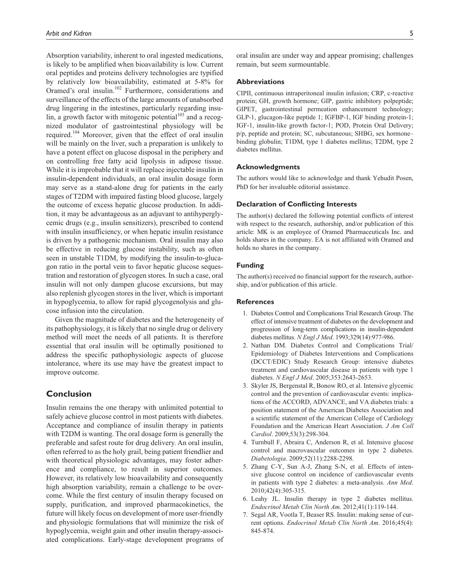Absorption variability, inherent to oral ingested medications, is likely to be amplified when bioavailability is low. Current oral peptides and proteins delivery technologies are typified by relatively low bioavailability, estimated at 5-8% for Oramed's oral insulin.<sup>102</sup> Furthermore, considerations and surveillance of the effects of the large amounts of unabsorbed drug lingering in the intestines, particularly regarding insulin, a growth factor with mitogenic potential $103$  and a recognized modulator of gastrointestinal physiology will be required.<sup>104</sup> Moreover, given that the effect of oral insulin will be mainly on the liver, such a preparation is unlikely to have a potent effect on glucose disposal in the periphery and on controlling free fatty acid lipolysis in adipose tissue. While it is improbable that it will replace injectable insulin in insulin-dependent individuals, an oral insulin dosage form may serve as a stand-alone drug for patients in the early stages of T2DM with impaired fasting blood glucose, largely the outcome of excess hepatic glucose production. In addition, it may be advantageous as an adjuvant to antihyperglycemic drugs (e.g., insulin sensitizers), prescribed to contend with insulin insufficiency, or when hepatic insulin resistance is driven by a pathogenic mechanism. Oral insulin may also be effective in reducing glucose instability, such as often seen in unstable T1DM, by modifying the insulin-to-glucagon ratio in the portal vein to favor hepatic glucose sequestration and restoration of glycogen stores. In such a case, oral insulin will not only dampen glucose excursions, but may also replenish glycogen stores in the liver, which is important in hypoglycemia, to allow for rapid glycogenolysis and glucose infusion into the circulation.

Given the magnitude of diabetes and the heterogeneity of its pathophysiology, it is likely that no single drug or delivery method will meet the needs of all patients. It is therefore essential that oral insulin will be optimally positioned to address the specific pathophysiologic aspects of glucose intolerance, where its use may have the greatest impact to improve outcome.

### **Conclusion**

Insulin remains the one therapy with unlimited potential to safely achieve glucose control in most patients with diabetes. Acceptance and compliance of insulin therapy in patients with T2DM is wanting. The oral dosage form is generally the preferable and safest route for drug delivery. An oral insulin, often referred to as the holy grail, being patient friendlier and with theoretical physiologic advantages, may foster adherence and compliance, to result in superior outcomes. However, its relatively low bioavailability and consequently high absorption variability, remain a challenge to be overcome. While the first century of insulin therapy focused on supply, purification, and improved pharmacokinetics, the future will likely focus on development of more user-friendly and physiologic formulations that will minimize the risk of hypoglycemia, weight gain and other insulin therapy-associated complications. Early-stage development programs of oral insulin are under way and appear promising; challenges remain, but seem surmountable.

### **Abbreviations**

CIPII, continuous intraperitoneal insulin infusion; CRP, c-reactive protein; GH, growth hormone; GIP, gastric inhibitory polpeptide; GIPET, gastrointestinal permeation enhancement technology; GLP-1, glucagon-like peptide 1; IGFBP-1, IGF binding protein-1; IGF-1, insulin-like growth factor-1; POD, Protein Oral Delivery; p/p, peptide and protein; SC, subcutaneous; SHBG, sex hormone– binding globulin; T1DM, type 1 diabetes mellitus; T2DM, type 2 diabetes mellitus.

#### **Acknowledgments**

The authors would like to acknowledge and thank Yehudit Posen, PhD for her invaluable editorial assistance.

#### **Declaration of Conflicting Interests**

The author(s) declared the following potential conflicts of interest with respect to the research, authorship, and/or publication of this article: MK is an employee of Oramed Pharmaceuticals Inc. and holds shares in the company. EA is not affiliated with Oramed and holds no shares in the company.

#### **Funding**

The author(s) received no financial support for the research, authorship, and/or publication of this article.

### **References**

- 1. Diabetes Control and Complications Trial Research Group. The effect of intensive treatment of diabetes on the development and progression of long-term complications in insulin-dependent diabetes mellitus. *N Engl J Med*. 1993;329(14):977-986.
- 2. Nathan DM. Diabetes Control and Complications Trial/ Epidemiology of Diabetes Interventions and Complications (DCCT/EDIC) Study Research Group: intensive diabetes treatment and cardiovascular disease in patients with type 1 diabetes. *N Engl J Med*. 2005;353:2643-2653.
- 3. Skyler JS, Bergenstal R, Bonow RO, et al. Intensive glycemic control and the prevention of cardiovascular events: implications of the ACCORD, ADVANCE, and VA diabetes trials: a position statement of the American Diabetes Association and a scientific statement of the American College of Cardiology Foundation and the American Heart Association. *J Am Coll Cardiol*. 2009;53(3):298-304.
- 4. Turnbull F, Abraira C, Anderson R, et al. Intensive glucose control and macrovascular outcomes in type 2 diabetes. *Diabetologia*. 2009;52(11):2288-2298.
- 5. Zhang C-Y, Sun A-J, Zhang S-N, et al. Effects of intensive glucose control on incidence of cardiovascular events in patients with type 2 diabetes: a meta-analysis. *Ann Med*. 2010;42(4):305-315.
- 6. Leahy JL. Insulin therapy in type 2 diabetes mellitus. *Endocrinol Metab Clin North Am*. 2012;41(1):119-144.
- 7. Segal AR, Vootla T, Beaser RS. Insulin: making sense of current options. *Endocrinol Metab Clin North Am*. 2016;45(4): 845-874.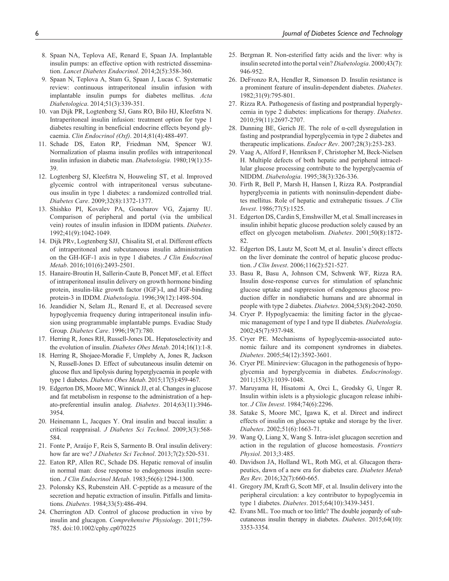- 8. Spaan NA, Teplova AE, Renard E, Spaan JA. Implantable insulin pumps: an effective option with restricted dissemination. *Lancet Diabetes Endocrinol*. 2014;2(5):358-360.
- 9. Spaan N, Teplova A, Stam G, Spaan J, Lucas C. Systematic review: continuous intraperitoneal insulin infusion with implantable insulin pumps for diabetes mellitus. *Acta Diabetologica*. 2014;51(3):339-351.
- 10. van Dijk PR, Logtenberg SJ, Gans RO, Bilo HJ, Kleefstra N. Intraperitoneal insulin infusion: treatment option for type 1 diabetes resulting in beneficial endocrine effects beyond glycaemia. *Clin Endocrinol (Oxf)*. 2014;81(4):488-497.
- 11. Schade DS, Eaton RP, Friedman NM, Spencer WJ. Normalization of plasma insulin profiles with intraperitoneal insulin infusion in diabetic man. *Diabetologia*. 1980;19(1):35- 39.
- 12. Logtenberg SJ, Kleefstra N, Houweling ST, et al. Improved glycemic control with intraperitoneal versus subcutaneous insulin in type 1 diabetes: a randomized controlled trial. *Diabetes Care*. 2009;32(8):1372-1377.
- 13. Shishko PI, Kovalev PA, Goncharov VG, Zajarny IU. Comparison of peripheral and portal (via the umbilical vein) routes of insulin infusion in IDDM patients. *Diabetes*. 1992;41(9):1042-1049.
- 14. Dijk PRv, Logtenberg SJJ, Chisalita SI, et al. Different effects of intraperitoneal and subcutaneous insulin administration on the GH-IGF-1 axis in type 1 diabetes. *J Clin Endocrinol Metab*. 2016;101(6):2493-2501.
- 15. Hanaire-Broutin H, Sallerin-Caute B, Poncet MF, et al. Effect of intraperitoneal insulin delivery on growth hormone binding protein, insulin-like growth factor (IGF)-I, and IGF-binding protein-3 in IDDM. *Diabetologia*. 1996;39(12):1498-504.
- 16. Jeandidier N, Selam JL, Renard E, et al. Decreased severe hypoglycemia frequency during intraperitoneal insulin infusion using programmable implantable pumps. Evadiac Study Group. *Diabetes Care*. 1996;19(7):780.
- 17. Herring R, Jones RH, Russell-Jones DL. Hepatoselectivity and the evolution of insulin. *Diabetes Obes Metab*. 2014;16(1):1-8.
- 18. Herring R, Shojaee-Moradie F, Umpleby A, Jones R, Jackson N, Russell-Jones D. Effect of subcutaneous insulin detemir on glucose flux and lipolysis during hyperglycaemia in people with type 1 diabetes. *Diabetes Obes Metab*. 2015;17(5):459-467.
- 19. Edgerton DS, Moore MC, Winnick JJ, et al. Changes in glucose and fat metabolism in response to the administration of a hepato-preferential insulin analog. *Diabetes*. 2014;63(11):3946- 3954.
- 20. Heinemann L, Jacques Y. Oral insulin and buccal insulin: a critical reappraisal. *J Diabetes Sci Technol*. 2009;3(3):568- 584.
- 21. Fonte P, Araújo F, Reis S, Sarmento B. Oral insulin delivery: how far are we? *J Diabetes Sci Technol*. 2013;7(2):520-531.
- 22. Eaton RP, Allen RC, Schade DS. Hepatic removal of insulin in normal man: dose response to endogenous insulin secretion. *J Clin Endocrinol Metab*. 1983;56(6):1294-1300.
- 23. Polonsky KS, Rubenstein AH. C-peptide as a measure of the secretion and hepatic extraction of insulin. Pitfalls and limitations. *Diabetes*. 1984;33(5):486-494.
- 24. Cherrington AD. Control of glucose production in vivo by insulin and glucagon. *Comprehensive Physiology*. 2011;759- 785. doi:10.1002/cphy.cp070225
- 25. Bergman R. Non-esterified fatty acids and the liver: why is insulin secreted into the portal vein? *Diabetologia*. 2000;43(7): 946-952.
- 26. DeFronzo RA, Hendler R, Simonson D. Insulin resistance is a prominent feature of insulin-dependent diabetes. *Diabetes*. 1982;31(9):795-801.
- 27. Rizza RA. Pathogenesis of fasting and postprandial hyperglycemia in type 2 diabetes: implications for therapy. *Diabetes*. 2010;59(11):2697-2707.
- 28. Dunning BE, Gerich JE. The role of α-cell dysregulation in fasting and postprandial hyperglycemia in type 2 diabetes and therapeutic implications. *Endocr Rev*. 2007;28(3):253-283.
- 29. Vaag A, Alford F, Henriksen F, Christopher M, Beck-Nielsen H. Multiple defects of both hepatic and peripheral intracellular glucose processing contribute to the hyperglycaemia of NIDDM. *Diabetologia*. 1995;38(3):326-336.
- 30. Firth R, Bell P, Marsh H, Hansen I, Rizza RA. Postprandial hyperglycemia in patients with noninsulin-dependent diabetes mellitus. Role of hepatic and extrahepatic tissues. *J Clin Invest*. 1986;77(5):1525.
- 31. Edgerton DS, Cardin S, Emshwiller M, et al. Small increases in insulin inhibit hepatic glucose production solely caused by an effect on glycogen metabolism. *Diabetes*. 2001;50(8):1872- 82.
- 32. Edgerton DS, Lautz M, Scott M, et al. Insulin's direct effects on the liver dominate the control of hepatic glucose production. *J Clin Invest*. 2006;116(2):521-527.
- 33. Basu R, Basu A, Johnson CM, Schwenk WF, Rizza RA. Insulin dose-response curves for stimulation of splanchnic glucose uptake and suppression of endogenous glucose production differ in nondiabetic humans and are abnormal in people with type 2 diabetes. *Diabetes*. 2004;53(8):2042-2050.
- 34. Cryer P. Hypoglycaemia: the limiting factor in the glycaemic management of type I and type II diabetes. *Diabetologia*. 2002;45(7):937-948.
- 35. Cryer PE. Mechanisms of hypoglycemia-associated autonomic failure and its component syndromes in diabetes. *Diabetes*. 2005;54(12):3592-3601.
- 36. Cryer PE. Minireview: Glucagon in the pathogenesis of hypoglycemia and hyperglycemia in diabetes. *Endocrinology*. 2011;153(3):1039-1048.
- 37. Maruyama H, Hisatomi A, Orci L, Grodsky G, Unger R. Insulin within islets is a physiologic glucagon release inhibitor. *J Clin Invest*. 1984;74(6):2296.
- 38. Satake S, Moore MC, Igawa K, et al. Direct and indirect effects of insulin on glucose uptake and storage by the liver. *Diabetes*. 2002;51(6):1663-71.
- 39. Wang Q, Liang X, Wang S. Intra-islet glucagon secretion and action in the regulation of glucose homeostasis. *Frontiers Physiol*. 2013;3:485.
- 40. Davidson JA, Holland WL, Roth MG, et al. Glucagon therapeutics, dawn of a new era for diabetes care. *Diabetes Metab Res Rev*. 2016;32(7):660-665.
- 41. Gregory JM, Kraft G, Scott MF, et al. Insulin delivery into the peripheral circulation: a key contributor to hypoglycemia in type 1 diabetes. *Diabetes*. 2015;64(10):3439-3451.
- 42. Evans ML. Too much or too little? The double jeopardy of subcutaneous insulin therapy in diabetes. *Diabetes*. 2015;64(10): 3353-3354.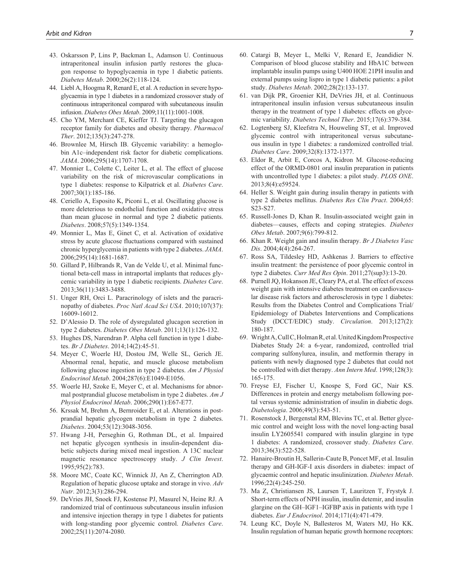- 43. Oskarsson P, Lins P, Backman L, Adamson U. Continuous intraperitoneal insulin infusion partly restores the glucagon response to hypoglycaemia in type 1 diabetic patients. *Diabetes Metab*. 2000;26(2):118-124.
- 44. Liebl A, Hoogma R, Renard E, et al. A reduction in severe hypoglycaemia in type 1 diabetes in a randomized crossover study of continuous intraperitoneal compared with subcutaneous insulin infusion. *Diabetes Obes Metab*. 2009;11(11):1001-1008.
- 45. Cho YM, Merchant CE, Kieffer TJ. Targeting the glucagon receptor family for diabetes and obesity therapy. *Pharmacol Ther*. 2012;135(3):247-278.
- 46. Brownlee M, Hirsch IB. Glycemic variability: a hemoglobin A1c–independent risk factor for diabetic complications. *JAMA*. 2006;295(14):1707-1708.
- 47. Monnier L, Colette C, Leiter L, et al. The effect of glucose variability on the risk of microvascular complications in type 1 diabetes: response to Kilpatrick et al. *Diabetes Care*. 2007;30(1):185-186.
- 48. Ceriello A, Esposito K, Piconi L, et al. Oscillating glucose is more deleterious to endothelial function and oxidative stress than mean glucose in normal and type 2 diabetic patients. *Diabetes*. 2008;57(5):1349-1354.
- 49. Monnier L, Mas E, Ginet C, et al. Activation of oxidative stress by acute glucose fluctuations compared with sustained chronic hyperglycemia in patients with type 2 diabetes. *JAMA*. 2006;295(14):1681-1687.
- 50. Gillard P, Hilbrands R, Van de Velde U, et al. Minimal functional beta-cell mass in intraportal implants that reduces glycemic variability in type 1 diabetic recipients. *Diabetes Care*. 2013;36(11):3483-3488.
- 51. Unger RH, Orci L. Paracrinology of islets and the paracrinopathy of diabetes. *Proc Natl Acad Sci USA*. 2010;107(37): 16009-16012.
- 52. D'Alessio D. The role of dysregulated glucagon secretion in type 2 diabetes. *Diabetes Obes Metab*. 2011;13(1):126-132.
- 53. Hughes DS, Narendran P. Alpha cell function in type 1 diabetes. *Br J Diabetes*. 2014;14(2):45-51.
- 54. Meyer C, Woerle HJ, Dostou JM, Welle SL, Gerich JE. Abnormal renal, hepatic, and muscle glucose metabolism following glucose ingestion in type 2 diabetes. *Am J Physiol Endocrinol Metab*. 2004;287(6):E1049-E1056.
- 55. Woerle HJ, Szoke E, Meyer C, et al. Mechanisms for abnormal postprandial glucose metabolism in type 2 diabetes. *Am J Physiol Endocrinol Metab*. 2006;290(1):E67-E77.
- 56. Krssak M, Brehm A, Bernroider E, et al. Alterations in postprandial hepatic glycogen metabolism in type 2 diabetes. *Diabetes*. 2004;53(12):3048-3056.
- 57. Hwang J-H, Perseghin G, Rothman DL, et al. Impaired net hepatic glycogen synthesis in insulin-dependent diabetic subjects during mixed meal ingestion. A 13C nuclear magnetic resonance spectroscopy study. *J Clin Invest*. 1995;95(2):783.
- 58. Moore MC, Coate KC, Winnick JJ, An Z, Cherrington AD. Regulation of hepatic glucose uptake and storage in vivo. *Adv Nutr*. 2012;3(3):286-294.
- 59. DeVries JH, Snoek FJ, Kostense PJ, Masurel N, Heine RJ. A randomized trial of continuous subcutaneous insulin infusion and intensive injection therapy in type 1 diabetes for patients with long-standing poor glycemic control. *Diabetes Care*. 2002;25(11):2074-2080.
- 60. Catargi B, Meyer L, Melki V, Renard E, Jeandidier N. Comparison of blood glucose stability and HbA1C between implantable insulin pumps using U400 HOE 21PH insulin and external pumps using lispro in type 1 diabetic patients: a pilot study. *Diabetes Metab*. 2002;28(2):133-137.
- 61. van Dijk PR, Groenier KH, DeVries JH, et al. Continuous intraperitoneal insulin infusion versus subcutaneous insulin therapy in the treatment of type 1 diabetes: effects on glycemic variability. *Diabetes Technol Ther*. 2015;17(6):379-384.
- 62. Logtenberg SJ, Kleefstra N, Houweling ST, et al. Improved glycemic control with intraperitoneal versus subcutaneous insulin in type 1 diabetes: a randomized controlled trial. *Diabetes Care*. 2009;32(8):1372-1377.
- 63. Eldor R, Arbit E, Corcos A, Kidron M. Glucose-reducing effect of the ORMD-0801 oral insulin preparation in patients with uncontrolled type 1 diabetes: a pilot study. *PLOS ONE*. 2013;8(4):e59524.
- 64. Heller S. Weight gain during insulin therapy in patients with type 2 diabetes mellitus. *Diabetes Res Clin Pract*. 2004;65: S23-S27.
- 65. Russell-Jones D, Khan R. Insulin-associated weight gain in diabetes—causes, effects and coping strategies. *Diabetes Obes Metab*. 2007;9(6):799-812.
- 66. Khan R. Weight gain and insulin therapy. *Br J Diabetes Vasc Dis*. 2004;4(4):264-267.
- 67. Ross SA, Tildesley HD, Ashkenas J. Barriers to effective insulin treatment: the persistence of poor glycemic control in type 2 diabetes. *Curr Med Res Opin*. 2011;27(sup3):13-20.
- 68. Purnell JQ, Hokanson JE, Cleary PA, et al. The effect of excess weight gain with intensive diabetes treatment on cardiovascular disease risk factors and atherosclerosis in type 1 diabetes: Results from the Diabetes Control and Complications Trial/ Epidemiology of Diabetes Interventions and Complications Study (DCCT/EDIC) study. *Circulation*. 2013;127(2): 180-187.
- 69. Wright A, Cull C, Holman R, et al. United Kingdom Prospective Diabetes Study 24: a 6-year, randomized, controlled trial comparing sulfonylurea, insulin, and metformin therapy in patients with newly diagnosed type 2 diabetes that could not be controlled with diet therapy. *Ann Intern Med*. 1998;128(3): 165-175.
- 70. Freyse EJ, Fischer U, Knospe S, Ford GC, Nair KS. Differences in protein and energy metabolism following portal versus systemic administration of insulin in diabetic dogs. *Diabetologia*. 2006;49(3):543-51.
- 71. Rosenstock J, Bergenstal RM, Blevins TC, et al. Better glycemic control and weight loss with the novel long-acting basal insulin LY2605541 compared with insulin glargine in type 1 diabetes: A randomized, crossover study. *Diabetes Care*. 2013;36(3):522-528.
- 72. Hanaire-Broutin H, Sallerin-Caute B, Poncet MF, et al. Insulin therapy and GH-IGF-I axis disorders in diabetes: impact of glycaemic control and hepatic insulinization. *Diabetes Metab*. 1996;22(4):245-250.
- 73. Ma Z, Christiansen JS, Laursen T, Lauritzen T, Frystyk J. Short-term effects of NPH insulin, insulin detemir, and insulin glargine on the GH–IGF1–IGFBP axis in patients with type 1 diabetes. *Eur J Endocrinol*. 2014;171(4):471-479.
- 74. Leung KC, Doyle N, Ballesteros M, Waters MJ, Ho KK. Insulin regulation of human hepatic growth hormone receptors: